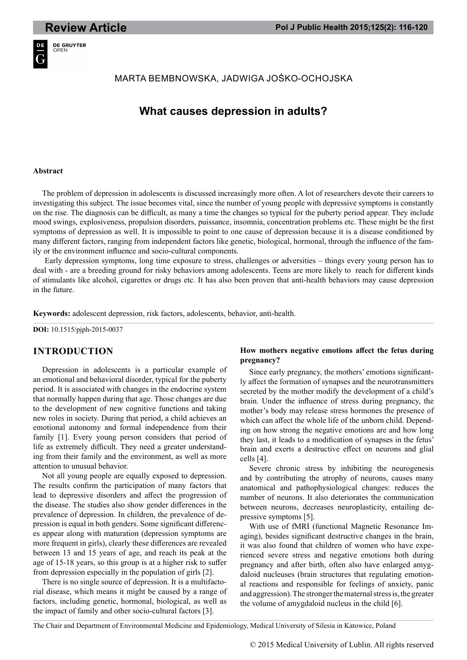

**DE GRUYTER** 

## Marta Bembnowska, Jadwiga Jośko-Ochojska

# **What causes depression in adults?**

## **Abstract**

The problem of depression in adolescents is discussed increasingly more often. A lot of researchers devote their careers to investigating this subject. The issue becomes vital, since the number of young people with depressive symptoms is constantly on the rise. The diagnosis can be difficult, as many a time the changes so typical for the puberty period appear. They include mood swings, explosiveness, propulsion disorders, puissance, insomnia, concentration problems etc. These might be the first symptoms of depression as well. It is impossible to point to one cause of depression because it is a disease conditioned by many different factors, ranging from independent factors like genetic, biological, hormonal, through the influence of the family or the environment influence and socio-cultural components.

 Early depression symptoms, long time exposure to stress, challenges or adversities – things every young person has to deal with - are a breeding ground for risky behaviors among adolescents. Teens are more likely to reach for different kinds of stimulants like alcohol, cigarettes or drugs etc. It has also been proven that anti-health behaviors may cause depression in the future.

**Keywords:** adolescent depression, risk factors, adolescents, behavior, anti-health.

**DOI:** 10.1515/pjph-2015-0037

## **Introduction**

Depression in adolescents is a particular example of an emotional and behavioral disorder, typical for the puberty period. It is associated with changes in the endocrine system that normally happen during that age. Those changes are due to the development of new cognitive functions and taking new roles in society. During that period, a child achieves an emotional autonomy and formal independence from their family [1]. Every young person considers that period of life as extremely difficult. They need a greater understanding from their family and the environment, as well as more attention to unusual behavior.

Not all young people are equally exposed to depression. The results confirm the participation of many factors that lead to depressive disorders and affect the progression of the disease. The studies also show gender differences in the prevalence of depression. In children, the prevalence of depression is equal in both genders. Some significant differences appear along with maturation (depression symptoms are more frequent in girls), clearly these differences are revealed between 13 and 15 years of age, and reach its peak at the age of 15-18 years, so this group is at a higher risk to suffer from depression especially in the population of girls [2].

There is no single source of depression. It is a multifactorial disease, which means it might be caused by a range of factors, including genetic, hormonal, biological, as well as the impact of family and other socio-cultural factors [3].

## **How mothers negative emotions affect the fetus during pregnancy?**

Since early pregnancy, the mothers' emotions significantly affect the formation of synapses and the neurotransmitters secreted by the mother modify the development of a child's brain. Under the influence of stress during pregnancy, the mother's body may release stress hormones the presence of which can affect the whole life of the unborn child. Depending on how strong the negative emotions are and how long they last, it leads to a modification of synapses in the fetus' brain and exerts a destructive effect on neurons and glial cells [4].

Severe chronic stress by inhibiting the neurogenesis and by contributing the atrophy of neurons, causes many anatomical and pathophysiological changes: reduces the number of neurons. It also deteriorates the communication between neurons, decreases neuroplasticity, entailing depressive symptoms [5].

With use of fMRI (functional Magnetic Resonance Imaging), besides significant destructive changes in the brain, it was also found that children of women who have experienced severe stress and negative emotions both during pregnancy and after birth, often also have enlarged amygdaloid nucleuses (brain structures that regulating emotional reactions and responsible for feelings of anxiety, panic and aggression). The stronger the maternal stress is, the greater the volume of amygdaloid nucleus in the child [6].

The Chair and Department of Environmental Medicine and Epidemiology, Medical University of Silesia in Katowice, Poland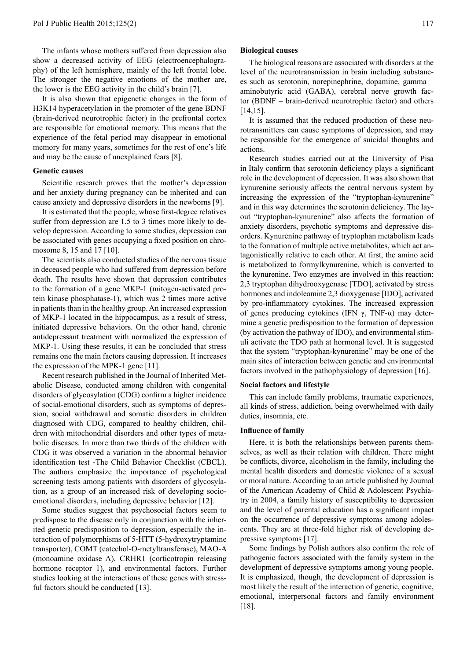The infants whose mothers suffered from depression also show a decreased activity of EEG (electroencephalography) of the left hemisphere, mainly of the left frontal lobe. The stronger the negative emotions of the mother are, the lower is the EEG activity in the child's brain [7].

It is also shown that epigenetic changes in the form of H3K14 hyperacetylation in the promoter of the gene BDNF (brain-derived neurotrophic factor) in the prefrontal cortex are responsible for emotional memory. This means that the experience of the fetal period may disappear in emotional memory for many years, sometimes for the rest of one's life and may be the cause of unexplained fears [8].

## **Genetic causes**

Scientific research proves that the mother's depression and her anxiety during pregnancy can be inherited and can cause anxiety and depressive disorders in the newborns [9].

It is estimated that the people, whose first-degree relatives suffer from depression are 1.5 to 3 times more likely to develop depression. According to some studies, depression can be associated with genes occupying a fixed position on chromosome 8, 15 and 17 [10].

The scientists also conducted studies of the nervous tissue in deceased people who had suffered from depression before death. The results have shown that depression contributes to the formation of a gene MKP-1 (mitogen-activated protein kinase phosphatase-1), which was 2 times more active in patients than in the healthy group. An increased expression of MKP-1 located in the hippocampus, as a result of stress, initiated depressive behaviors. On the other hand, chronic antidepressant treatment with normalized the expression of MKP-1. Using these results, it can be concluded that stress remains one the main factors causing depression. It increases the expression of the MPK-1 gene [11].

Recent research published in the Journal of Inherited Metabolic Disease, conducted among children with congenital disorders of glycosylation (CDG) confirm a higher incidence of social-emotional disorders, such as symptoms of depression, social withdrawal and somatic disorders in children diagnosed with CDG, compared to healthy children, children with mitochondrial disorders and other types of metabolic diseases. In more than two thirds of the children with CDG it was observed a variation in the abnormal behavior identification test -The Child Behavior Checklist (CBCL). The authors emphasize the importance of psychological screening tests among patients with disorders of glycosylation, as a group of an increased risk of developing socioemotional disorders, including depressive behavior [12].

Some studies suggest that psychosocial factors seem to predispose to the disease only in conjunction with the inherited genetic predisposition to depression, especially the interaction of polymorphisms of 5-HTT (5-hydroxytryptamine transporter), COMT (catechol-O-metyltransferase), MAO-A (monoamine oxidase A), CRHR1 (corticotropin releasing hormone receptor 1), and environmental factors. Further studies looking at the interactions of these genes with stressful factors should be conducted [13].

#### **Biological causes**

The biological reasons are associated with disorders at the level of the neurotransmission in brain including substances such as serotonin, norepinephrine, dopamine, gamma – aminobutyric acid (GABA), cerebral nerve growth factor (BDNF – brain-derived neurotrophic factor) and others [14,15].

It is assumed that the reduced production of these neurotransmitters can cause symptoms of depression, and may be responsible for the emergence of suicidal thoughts and actions.

Research studies carried out at the University of Pisa in Italy confirm that serotonin deficiency plays a significant role in the development of depression. It was also shown that kynurenine seriously affects the central nervous system by increasing the expression of the "tryptophan-kynurenine" and in this way determines the serotonin deficiency. The layout "tryptophan-kynurenine" also affects the formation of anxiety disorders, psychotic symptoms and depressive disorders. Kynurenine pathway of tryptophan metabolism leads to the formation of multiple active metabolites, which act antagonistically relative to each other. At first, the amino acid is metabolized to formylkynurenine, which is converted to the kynurenine. Two enzymes are involved in this reaction: 2,3 tryptophan dihydrooxygenase [TDO], activated by stress hormones and indoleamine 2,3 dioxygenase [IDO], activated by pro-inflammatory cytokines. The increased expression of genes producing cytokines (IFN γ, TNF-α) may determine a genetic predisposition to the formation of depression (by activation the pathway of IDO), and environmental stimuli activate the TDO path at hormonal level. It is suggested that the system "tryptophan-kynurenine" may be one of the main sites of interaction between genetic and environmental factors involved in the pathophysiology of depression [16].

#### **Social factors and lifestyle**

This can include family problems, traumatic experiences, all kinds of stress, addiction, being overwhelmed with daily duties, insomnia, etc.

#### **Influence of family**

Here, it is both the relationships between parents themselves, as well as their relation with children. There might be conflicts, divorce, alcoholism in the family, including the mental health disorders and domestic violence of a sexual or moral nature. According to an article published by Journal of the American Academy of Child & Adolescent Psychiatry in 2004, a family history of susceptibility to depression and the level of parental education has a significant impact on the occurrence of depressive symptoms among adolescents. They are at three-fold higher risk of developing depressive symptoms [17].

Some findings by Polish authors also confirm the role of pathogenic factors associated with the family system in the development of depressive symptoms among young people. It is emphasized, though, the development of depression is most likely the result of the interaction of genetic, cognitive, emotional, interpersonal factors and family environment [18].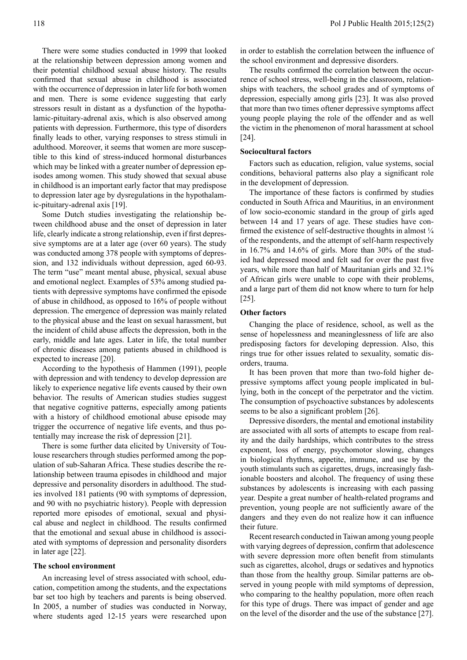There were some studies conducted in 1999 that looked at the relationship between depression among women and their potential childhood sexual abuse history. The results confirmed that sexual abuse in childhood is associated with the occurrence of depression in later life for both women and men. There is some evidence suggesting that early stressors result in distant as a dysfunction of the hypothalamic-pituitary-adrenal axis, which is also observed among patients with depression. Furthermore, this type of disorders finally leads to other, varying responses to stress stimuli in adulthood. Moreover, it seems that women are more susceptible to this kind of stress-induced hormonal disturbances which may be linked with a greater number of depression episodes among women. This study showed that sexual abuse in childhood is an important early factor that may predispose to depression later age by dysregulations in the hypothalamic-pituitary-adrenal axis [19].

Some Dutch studies investigating the relationship between childhood abuse and the onset of depression in later life, clearly indicate a strong relationship, even if first depressive symptoms are at a later age (over 60 years). The study was conducted among 378 people with symptoms of depression, and 132 individuals without depression, aged 60-93. The term "use" meant mental abuse, physical, sexual abuse and emotional neglect. Examples of 53% among studied patients with depressive symptoms have confirmed the episode of abuse in childhood, as opposed to 16% of people without depression. The emergence of depression was mainly related to the physical abuse and the least on sexual harassment, but the incident of child abuse affects the depression, both in the early, middle and late ages. Later in life, the total number of chronic diseases among patients abused in childhood is expected to increase [20].

According to the hypothesis of Hammen (1991), people with depression and with tendency to develop depression are likely to experience negative life events caused by their own behavior. The results of American studies studies suggest that negative cognitive patterns, especially among patients with a history of childhood emotional abuse episode may trigger the occurrence of negative life events, and thus potentially may increase the risk of depression [21].

There is some further data elicited by University of Toulouse researchers through studies performed among the population of sub-Saharan Africa. These studies describe the relationship between trauma episodes in childhood and major depressive and personality disorders in adulthood. The studies involved 181 patients (90 with symptoms of depression, and 90 with no psychiatric history). People with depression reported more episodes of emotional, sexual and physical abuse and neglect in childhood. The results confirmed that the emotional and sexual abuse in childhood is associated with symptoms of depression and personality disorders in later age [22].

## **The school environment**

An increasing level of stress associated with school, education, competition among the students, and the expectations bar set too high by teachers and parents is being observed. In 2005, a number of studies was conducted in Norway, where students aged 12-15 years were researched upon in order to establish the correlation between the influence of the school environment and depressive disorders.

The results confirmed the correlation between the occurrence of school stress, well-being in the classroom, relationships with teachers, the school grades and of symptoms of depression, especially among girls [23]. It was also proved that more than two times oftener depressive symptoms affect young people playing the role of the offender and as well the victim in the phenomenon of moral harassment at school [24].

### **Sociocultural factors**

Factors such as education, religion, value systems, social conditions, behavioral patterns also play a significant role in the development of depression.

The importance of these factors is confirmed by studies conducted in South Africa and Mauritius, in an environment of low socio-economic standard in the group of girls aged between 14 and 17 years of age. These studies have confirmed the existence of self-destructive thoughts in almost  $\frac{1}{4}$ of the respondents, and the attempt of self-harm respectively in 16.7% and 14.6% of girls. More than 30% of the studied had depressed mood and felt sad for over the past five years, while more than half of Mauritanian girls and 32.1% of African girls were unable to cope with their problems, and a large part of them did not know where to turn for help [25].

## **Other factors**

Changing the place of residence, school, as well as the sense of hopelessness and meaninglessness of life are also predisposing factors for developing depression. Also, this rings true for other issues related to sexuality, somatic disorders, trauma.

It has been proven that more than two-fold higher depressive symptoms affect young people implicated in bullying, both in the concept of the perpetrator and the victim. The consumption of psychoactive substances by adolescents seems to be also a significant problem [26].

Depressive disorders, the mental and emotional instability are associated with all sorts of attempts to escape from reality and the daily hardships, which contributes to the stress exponent, loss of energy, psychomotor slowing, changes in biological rhythms, appetite, immune, and use by the youth stimulants such as cigarettes, drugs, increasingly fashionable boosters and alcohol. The frequency of using these substances by adolescents is increasing with each passing year. Despite a great number of health-related programs and prevention, young people are not sufficiently aware of the dangers and they even do not realize how it can influence their future.

Recent research conducted in Taiwan among young people with varying degrees of depression, confirm that adolescence with severe depression more often benefit from stimulants such as cigarettes, alcohol, drugs or sedatives and hypnotics than those from the healthy group. Similar patterns are observed in young people with mild symptoms of depression, who comparing to the healthy population, more often reach for this type of drugs. There was impact of gender and age on the level of the disorder and the use of the substance [27].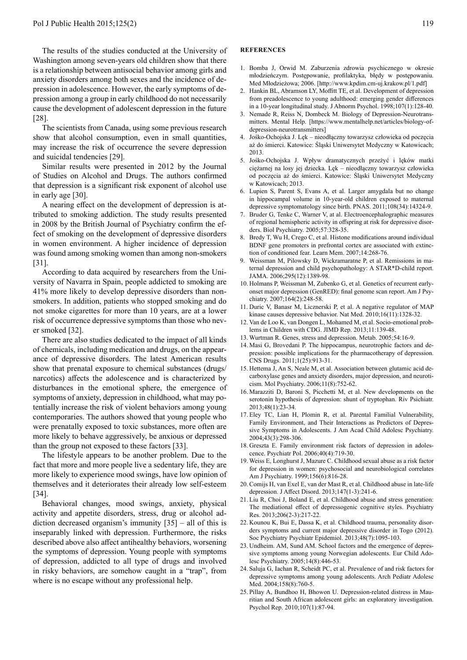The results of the studies conducted at the University of Washington among seven-years old children show that there is a relationship between antisocial behavior among girls and anxiety disorders among both sexes and the incidence of depression in adolescence. However, the early symptoms of depression among a group in early childhood do not necessarily cause the development of adolescent depression in the future [28].

The scientists from Canada, using some previous research show that alcohol consumption, even in small quantities, may increase the risk of occurrence the severe depression and suicidal tendencies [29].

Similar results were presented in 2012 by the Journal of Studies on Alcohol and Drugs. The authors confirmed that depression is a significant risk exponent of alcohol use in early age [30].

A nearing effect on the development of depression is attributed to smoking addiction. The study results presented in 2008 by the British Journal of Psychiatry confirm the effect of smoking on the development of depressive disorders in women environment. A higher incidence of depression was found among smoking women than among non-smokers [31].

According to data acquired by researchers from the University of Navarra in Spain, people addicted to smoking are 41% more likely to develop depressive disorders than nonsmokers. In addition, patients who stopped smoking and do not smoke cigarettes for more than 10 years, are at a lower risk of occurrence depressive symptoms than those who never smoked [32].

There are also studies dedicated to the impact of all kinds of chemicals, including medication and drugs, on the appearance of depressive disorders. The latest American results show that prenatal exposure to chemical substances (drugs/ narcotics) affects the adolescence and is characterized by disturbances in the emotional sphere, the emergence of symptoms of anxiety, depression in childhood, what may potentially increase the risk of violent behaviors among young contemporaries. The authors showed that young people who were prenatally exposed to toxic substances, more often are more likely to behave aggressively, be anxious or depressed than the group not exposed to these factors [33].

The lifestyle appears to be another problem. Due to the fact that more and more people live a sedentary life, they are more likely to experience mood swings, have low opinion of themselves and it deteriorates their already low self-esteem [34].

Behavioral changes, mood swings, anxiety, physical activity and appetite disorders, stress, drug or alcohol addiction decreased organism's immunity [35] – all of this is inseparably linked with depression. Furthermore, the risks described above also affect antihealthy behaviors, worsening the symptoms of depression. Young people with symptoms of depression, addicted to all type of drugs and involved in risky behaviors, are somehow caught in a "trap", from where is no escape without any professional help.

#### **REFERENCES**

- 1. Bomba J, Orwid M. Zaburzenia zdrowia psychicznego w okresie młodzieńczym. Postępowanie, profilaktyka, błędy w postępowaniu. Med Młodzieżowa; 2006. [http://www.kpdim.cm-uj.krakow.pl/1.pdf]
- 2. Hankin BL, Abramson LY, Moffitt TE, et al. Development of depression from preadolescence to young adulthood: emerging gender differences in a 10-year longitudinal study. J Abnorm Psychol. 1998;107(1):128-40.
- 3. Nemade R, Reiss N, Dombeck M. Biology of Depression-Neurotransmitters. Mental Help. [https://www.mentalhelp.net/articles/biology-ofdepression-neurotransmitters]
- 4. Jośko-Ochojska J. Lęk nieodłączny towarzysz człowieka od poczęcia aż do śmierci. Katowice: Śląski Uniwersytet Medyczny w Katowicach; 2013.
- 5. Jośko-Ochojska J. Wpływ dramatycznych przeżyć i lęków matki ciężarnej na losy jej dziecka. Lęk – nieodłączny towarzysz człowieka od poczęcia aż do śmierci. Katowice: Śląski Uniwersytet Medyczny w Katowicach; 2013.
- 6. Lupien S, Parent S, Evans A, et al. Larger amygdala but no change in hippocampal volume in 10-year-old children exposed to maternal depressive symptomatology since birth. PNAS. 2011;108(34):14324-9.
- 7. Bruder G, Tenke C, Warner V, at al. Electroencephalographic measures of regional hemispheric activity in offspring at risk for depressive disorders. Biol Psychiatry. 2005;57:328-35.
- 8. Bredy T, Wu H, Crego C, et al. Histone modifications around individual BDNF gene promoters in prefrontal cortex are associated with extinction of conditioned fear. Learn Mem. 2007;14:268-76.
- 9. Weissman M, Pilowsky D, Wickramaratne P, et al. Remissions in maternal depression and child psychopathology: A STAR\*D-child report. JAMA. 2006;295(12):1389-98.
- 10. Holmans P, Weissman M, Zubenko G, et al. Genetics of recurrent earlyonset major depression (GenRED): final genome scan report. Am J Psychiatry. 2007;164(2):248-58.
- 11. Duric V, Banasr M, Licznerski P, et al. A negative regulator of MAP kinase causes depressive behavior. Nat Med. 2010;16(11):1328-32.
- 12. Van de Loo K, van Dongen L, Mohamed M, et al. Socio-emotional problems in Children with CDG. JIMD Rep. 2013;11:139-48.
- 13. Wurtman R. Genes, stress and depression. Metab. 2005;54:16-9.
- 14. Masi G, Brovedani P. The hippocampus, neurotrophic factors and depression: possible implications for the pharmacotherapy of depression. CNS Drugs. 2011;1(25):913-31.
- 15. Hettema J, An S, Neale M, et al. Association between glutamic acid decarboxylase genes and anxiety disorders, major depression, and neuroticism. Mol Psychiatry. 2006;11(8):752-62.
- 16. Marazziti D, Baroni S, Picchetti M, et al. New developments on the serotonin hypothesis of depression: shunt of tryptophan. Riv Psichiatr. 2013;48(1):23-34.
- 17. Eley TC, Lian H, Plomin R, et al. Parental Familial Vulnerability, Family Environment, and Their Interactions as Predictors of Depressive Symptoms in Adolescents. J Am Acad Child Adolesc Psychiatry. 2004;43(3):298-306.
- 18. Greszta E. Family environment risk factors of depression in adolescence. Psychiatr Pol. 2006;40(4):719-30.
- 19. Weiss E, Longhurst J, Mazure C. Childhood sexual abuse as a risk factor for depression in women: psychosocial and neurobiological correlates Am J Psychiatry. 1999;156(6):816-28.
- 20. Comijs H, van Exel E, van der Mast R, et al. Childhood abuse in late-life depression. J Affect Disord. 2013;147(1-3):241-6.
- 21. Liu R, Choi J, Boland E, et al. Childhood abuse and stress generation: The mediational effect of depressogenic cognitive styles. Psychiatry Res. 2013;206(2-3):217-22.
- 22. Kounou K, Bui E, Dassa K, et al. Childhood trauma, personality disorders symptoms and current major depressive disorder in Togo (2012). Soc Psychiatry Psychiatr Epidemiol. 2013;48(7):1095-103.
- 23. Undheim. AM, Sund AM. School factors and the emergence of depressive symptoms among young Norwegian adolescents. Eur Child Adolesc Psychiatry. 2005;14(8):446-53.
- 24. Saluja G, Iachan R, Scheidt PC, et al. Prevalence of and risk factors for depressive symptoms among young adolescents. Arch Pediatr Adolesc Med. 2004;158(8):760-5.
- 25. Pillay A, Bundhoo H, Bhowon U. Depression-related distress in Mauritian and South African adolescent girls: an exploratory investigation. Psychol Rep. 2010;107(1):87-94.